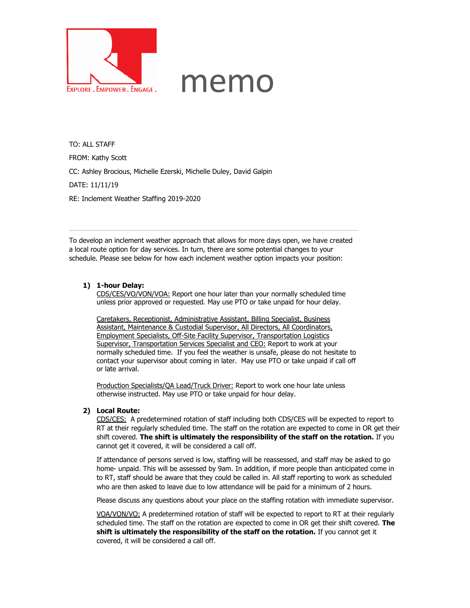

## memo

TO: ALL STAFF FROM: Kathy Scott CC: Ashley Brocious, Michelle Ezerski, Michelle Duley, David Galpin DATE: 11/11/19 RE: Inclement Weather Staffing 2019-2020

To develop an inclement weather approach that allows for more days open, we have created a local route option for day services. In turn, there are some potential changes to your schedule. Please see below for how each inclement weather option impacts your position:

## **1) 1-hour Delay:**

CDS/CES/VO/VON/VOA: Report one hour later than your normally scheduled time unless prior approved or requested. May use PTO or take unpaid for hour delay.

Caretakers, Receptionist, Administrative Assistant, Billing Specialist, Business Assistant, Maintenance & Custodial Supervisor, All Directors, All Coordinators, Employment Specialists, Off-Site Facility Supervisor, Transportation Logistics Supervisor, Transportation Services Specialist and CEO: Report to work at your normally scheduled time. If you feel the weather is unsafe, please do not hesitate to contact your supervisor about coming in later. May use PTO or take unpaid if call off or late arrival.

Production Specialists/QA Lead/Truck Driver: Report to work one hour late unless otherwise instructed. May use PTO or take unpaid for hour delay.

## **2) Local Route:**

CDS/CES: A predetermined rotation of staff including both CDS/CES will be expected to report to RT at their regularly scheduled time. The staff on the rotation are expected to come in OR get their shift covered. **The shift is ultimately the responsibility of the staff on the rotation.** If you cannot get it covered, it will be considered a call off.

If attendance of persons served is low, staffing will be reassessed, and staff may be asked to go home- unpaid. This will be assessed by 9am. In addition, if more people than anticipated come in to RT, staff should be aware that they could be called in. All staff reporting to work as scheduled who are then asked to leave due to low attendance will be paid for a minimum of 2 hours.

Please discuss any questions about your place on the staffing rotation with immediate supervisor.

VOA/VON/VO: A predetermined rotation of staff will be expected to report to RT at their regularly scheduled time. The staff on the rotation are expected to come in OR get their shift covered. **The shift is ultimately the responsibility of the staff on the rotation.** If you cannot get it covered, it will be considered a call off.